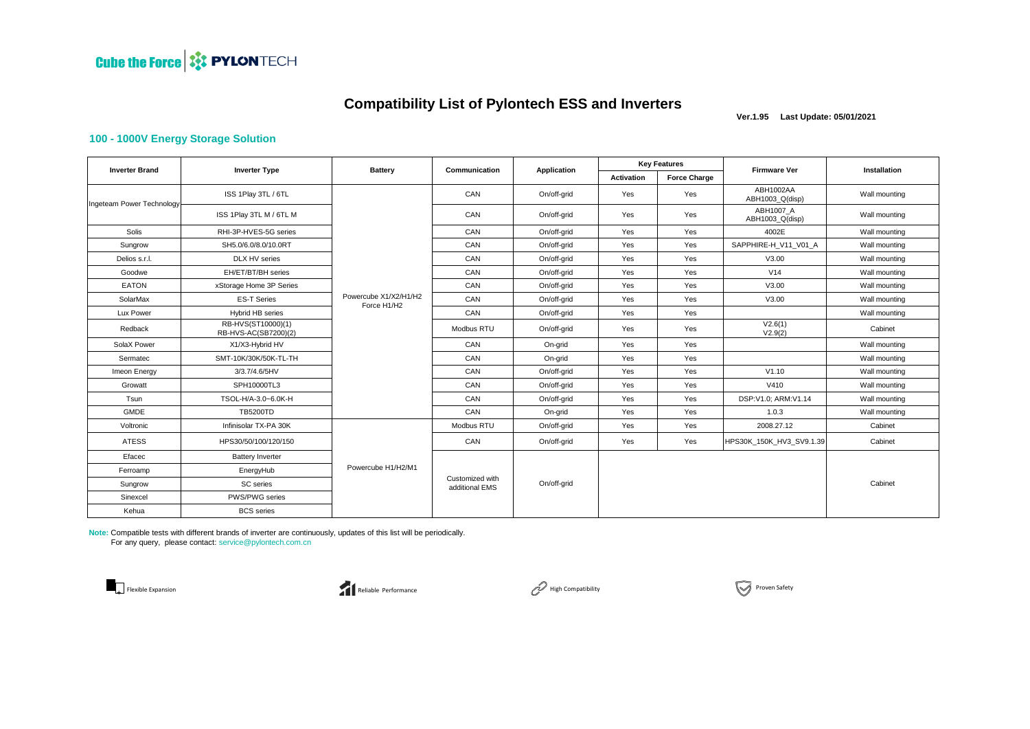

 **Ver.1.95 Last Update: 05/01/2021**

#### **100 - 1000V Energy Storage Solution**

| <b>Inverter Brand</b>     | <b>Inverter Type</b>                       | <b>Battery</b>                       | Communication                     | Application | <b>Key Features</b> |                     | <b>Firmware Ver</b>          | Installation  |
|---------------------------|--------------------------------------------|--------------------------------------|-----------------------------------|-------------|---------------------|---------------------|------------------------------|---------------|
|                           |                                            |                                      |                                   |             | <b>Activation</b>   | <b>Force Charge</b> |                              |               |
| Ingeteam Power Technology | ISS 1Play 3TL / 6TL                        |                                      | CAN                               | On/off-grid | Yes                 | Yes                 | ABH1002AA<br>ABH1003_Q(disp) | Wall mounting |
|                           | ISS 1Play 3TL M / 6TL M                    |                                      | CAN                               | On/off-grid | Yes                 | Yes                 | ABH1007 A<br>ABH1003 Q(disp) | Wall mounting |
| Solis                     | RHI-3P-HVES-5G series                      |                                      | CAN                               | On/off-grid | Yes                 | Yes                 | 4002E                        | Wall mounting |
| Sungrow                   | SH5.0/6.0/8.0/10.0RT                       |                                      | CAN                               | On/off-grid | Yes                 | Yes                 | SAPPHIRE-H V11 V01 A         | Wall mounting |
| Delios s.r.l.             | DLX HV series                              |                                      | CAN                               | On/off-grid | Yes                 | Yes                 | V3.00                        | Wall mounting |
| Goodwe                    | EH/ET/BT/BH series                         |                                      | CAN                               | On/off-grid | Yes                 | Yes                 | V14                          | Wall mounting |
| <b>EATON</b>              | xStorage Home 3P Series                    |                                      | CAN                               | On/off-grid | Yes                 | Yes                 | V3.00                        | Wall mounting |
| SolarMax                  | <b>ES-T Series</b>                         | Powercube X1/X2/H1/H2<br>Force H1/H2 | CAN                               | On/off-grid | Yes                 | Yes                 | V3.00                        | Wall mounting |
| Lux Power                 | <b>Hybrid HB series</b>                    |                                      | CAN                               | On/off-grid | Yes                 | Yes                 |                              | Wall mounting |
| Redback                   | RB-HVS(ST10000)(1)<br>RB-HVS-AC(SB7200)(2) |                                      | Modbus RTU                        | On/off-grid | Yes                 | Yes                 | V2.6(1)<br>V2.9(2)           | Cabinet       |
| SolaX Power               | X1/X3-Hybrid HV                            |                                      | CAN                               | On-grid     | Yes                 | Yes                 |                              | Wall mounting |
| Sermatec                  | SMT-10K/30K/50K-TL-TH                      |                                      | CAN                               | On-grid     | Yes                 | Yes                 |                              | Wall mounting |
| Imeon Energy              | 3/3.7/4.6/5HV                              |                                      | CAN                               | On/off-grid | Yes                 | Yes                 | V1.10                        | Wall mounting |
| Growatt                   | SPH10000TL3                                |                                      | CAN                               | On/off-grid | Yes                 | Yes                 | V410                         | Wall mounting |
| Tsun                      | TSOL-H/A-3.0~6.0K-H                        |                                      | CAN                               | On/off-grid | Yes                 | Yes                 | DSP:V1.0; ARM:V1.14          | Wall mounting |
| <b>GMDE</b>               | <b>TB5200TD</b>                            |                                      | CAN                               | On-grid     | Yes                 | Yes                 | 1.0.3                        | Wall mounting |
| Voltronic                 | Infinisolar TX-PA 30K                      |                                      | Modbus RTU                        | On/off-grid | Yes                 | Yes                 | 2008.27.12                   | Cabinet       |
| <b>ATESS</b>              | HPS30/50/100/120/150                       |                                      | CAN                               | On/off-grid | Yes                 | Yes                 | HPS30K 150K HV3 SV9.1.39     | Cabinet       |
| Efacec                    | <b>Battery Inverter</b>                    | Powercube H1/H2/M1                   | Customized with<br>additional EMS | On/off-grid |                     |                     |                              |               |
| Ferroamp                  | EnergyHub                                  |                                      |                                   |             |                     |                     |                              |               |
| Sungrow                   | SC series                                  |                                      |                                   |             |                     |                     |                              | Cabinet       |
| Sinexcel                  | PWS/PWG series                             |                                      |                                   |             |                     |                     |                              |               |
| Kehua                     | <b>BCS</b> series                          |                                      |                                   |             |                     |                     |                              |               |

**Note:** Compatible tests with different brands of inverter are continuously, updates of this list will be periodically. For any query, please contact: service@pylontech.com.cn





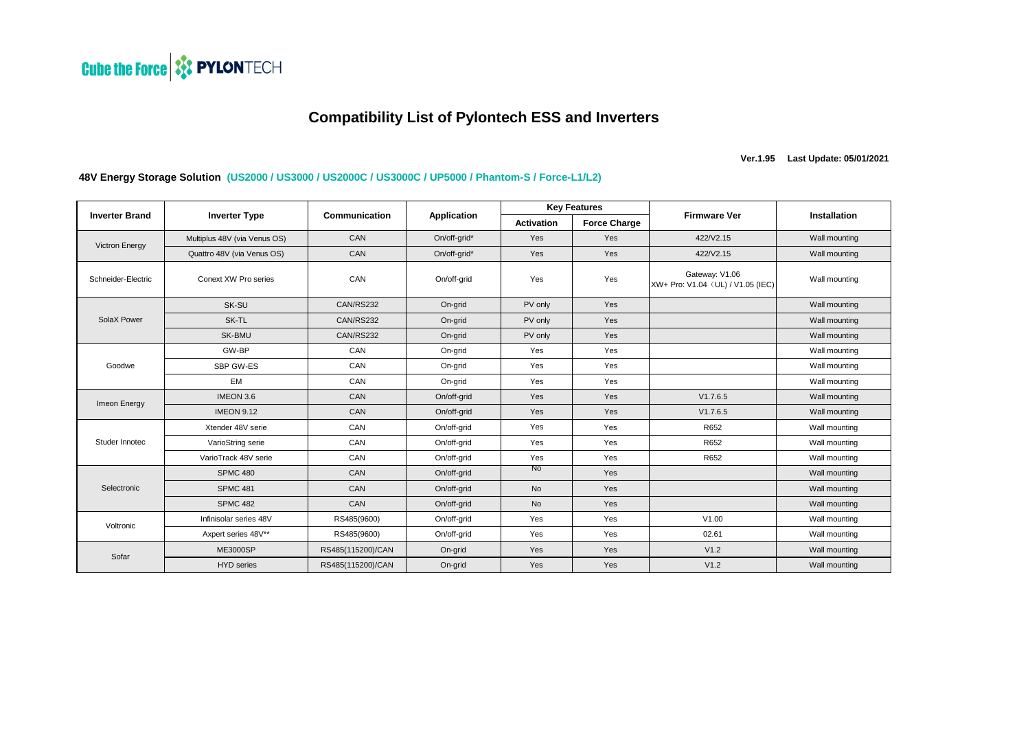

**Ver.1.95 Last Update: 05/01/2021**

#### **48V Energy Storage Solution (US2000 / US3000 / US2000C / US3000C / UP5000 / Phantom-S / Force-L1/L2)**

| <b>Inverter Brand</b> | <b>Inverter Type</b>         | Communication     | Application  | <b>Key Features</b> |                     |                                                     |                     |
|-----------------------|------------------------------|-------------------|--------------|---------------------|---------------------|-----------------------------------------------------|---------------------|
|                       |                              |                   |              | <b>Activation</b>   | <b>Force Charge</b> | <b>Firmware Ver</b>                                 | <b>Installation</b> |
| <b>Victron Energy</b> | Multiplus 48V (via Venus OS) | CAN               | On/off-grid* | Yes                 | Yes                 | 422/V2.15                                           | Wall mounting       |
|                       | Quattro 48V (via Venus OS)   | CAN               | On/off-grid* | Yes                 | Yes                 | 422/V2.15                                           | Wall mounting       |
| Schneider-Electric    | Conext XW Pro series         | CAN               | On/off-grid  | Yes                 | Yes                 | Gateway: V1.06<br>XW+ Pro: V1.04 (UL) / V1.05 (IEC) | Wall mounting       |
|                       | SK-SU                        | CAN/RS232         | On-grid      | PV only             | Yes                 |                                                     | Wall mounting       |
| SolaX Power           | SK-TL                        | CAN/RS232         | On-grid      | PV only             | Yes                 |                                                     | Wall mounting       |
|                       | SK-BMU                       | CAN/RS232         | On-grid      | PV only             | Yes                 |                                                     | Wall mounting       |
|                       | GW-BP                        | CAN               | On-grid      | Yes                 | Yes                 |                                                     | Wall mounting       |
| Goodwe                | SBP GW-ES                    | CAN               | On-grid      | Yes                 | Yes                 |                                                     | Wall mounting       |
|                       | EM                           | CAN               | On-grid      | Yes                 | Yes                 |                                                     | Wall mounting       |
| Imeon Energy          | IMEON 3.6                    | CAN               | On/off-grid  | Yes                 | Yes                 | V1.7.6.5                                            | Wall mounting       |
|                       | <b>IMEON 9.12</b>            | CAN               | On/off-grid  | Yes                 | Yes                 | V1.7.6.5                                            | Wall mounting       |
|                       | Xtender 48V serie            | CAN               | On/off-grid  | Yes                 | Yes                 | R652                                                | Wall mounting       |
| Studer Innotec        | VarioString serie            | CAN               | On/off-grid  | Yes                 | Yes                 | R652                                                | Wall mounting       |
|                       | VarioTrack 48V serie         | CAN               | On/off-grid  | Yes                 | Yes                 | R652                                                | Wall mounting       |
|                       | <b>SPMC 480</b>              | CAN               | On/off-grid  | No                  | Yes                 |                                                     | Wall mounting       |
| Selectronic           | <b>SPMC 481</b>              | CAN               | On/off-grid  | <b>No</b>           | Yes                 |                                                     | Wall mounting       |
|                       | <b>SPMC 482</b>              | CAN               | On/off-grid  | <b>No</b>           | Yes                 |                                                     | Wall mounting       |
| Voltronic             | Infinisolar series 48V       | RS485(9600)       | On/off-grid  | Yes                 | Yes                 | V1.00                                               | Wall mounting       |
|                       | Axpert series 48V**          | RS485(9600)       | On/off-grid  | Yes                 | Yes                 | 02.61                                               | Wall mounting       |
| Sofar                 | <b>ME3000SP</b>              | RS485(115200)/CAN | On-grid      | Yes                 | Yes                 | V1.2                                                | Wall mounting       |
|                       | <b>HYD</b> series            | RS485(115200)/CAN | On-grid      | Yes                 | Yes                 | V1.2                                                | Wall mounting       |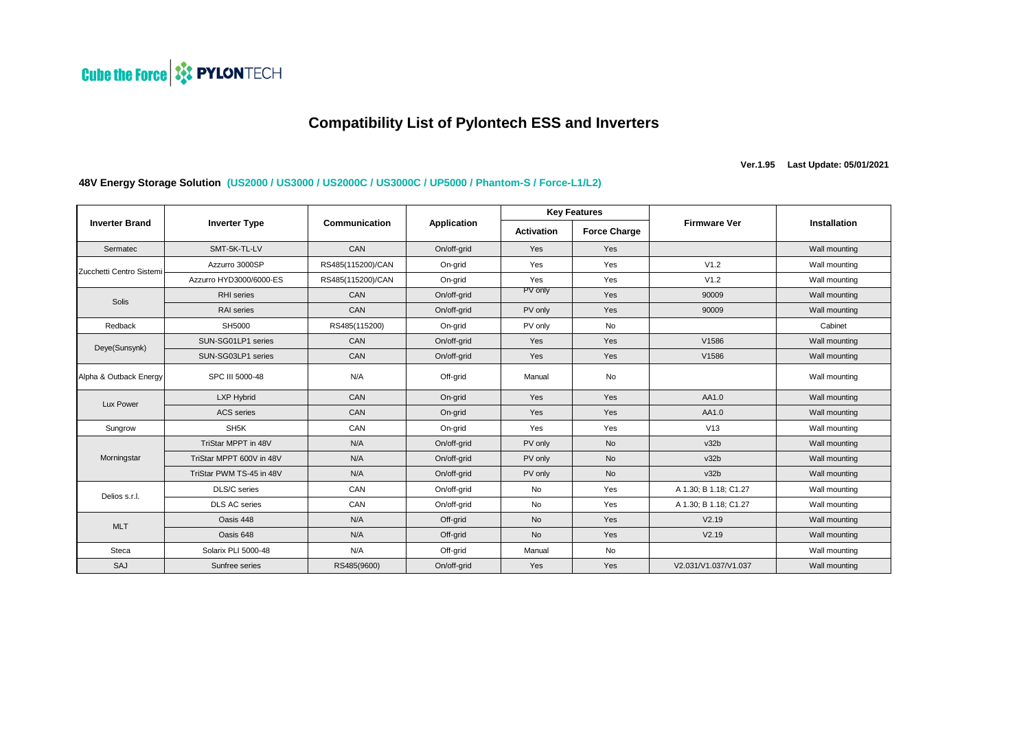

**Ver.1.95 Last Update: 05/01/2021**

## **48V Energy Storage Solution (US2000 / US3000 / US2000C / US3000C / UP5000 / Phantom-S / Force-L1/L2)**

| <b>Inverter Brand</b>    | <b>Inverter Type</b>     | Communication     | Application | <b>Key Features</b> |                     |                       |                     |
|--------------------------|--------------------------|-------------------|-------------|---------------------|---------------------|-----------------------|---------------------|
|                          |                          |                   |             | <b>Activation</b>   | <b>Force Charge</b> | <b>Firmware Ver</b>   | <b>Installation</b> |
| Sermatec                 | SMT-5K-TL-LV             | CAN               | On/off-grid | Yes                 | Yes                 |                       | Wall mounting       |
| Zucchetti Centro Sistemi | Azzurro 3000SP           | RS485(115200)/CAN | On-grid     | Yes                 | Yes                 | V1.2                  | Wall mounting       |
|                          | Azzurro HYD3000/6000-ES  | RS485(115200)/CAN | On-grid     | Yes                 | Yes                 | V1.2                  | Wall mounting       |
| Solis                    | <b>RHI</b> series        | CAN               | On/off-grid | PV only             | Yes                 | 90009                 | Wall mounting       |
|                          | RAI series               | CAN               | On/off-grid | PV only             | Yes                 | 90009                 | Wall mounting       |
| Redback                  | SH5000                   | RS485(115200)     | On-grid     | PV only             | No                  |                       | Cabinet             |
| Deye(Sunsynk)            | SUN-SG01LP1 series       | CAN               | On/off-grid | Yes                 | Yes                 | V1586                 | Wall mounting       |
|                          | SUN-SG03LP1 series       | CAN               | On/off-grid | Yes                 | Yes                 | V1586                 | Wall mounting       |
| Alpha & Outback Energy   | SPC III 5000-48          | N/A               | Off-grid    | Manual              | No                  |                       | Wall mounting       |
| Lux Power                | LXP Hybrid               | CAN               | On-grid     | Yes                 | Yes                 | AA1.0                 | Wall mounting       |
|                          | <b>ACS</b> series        | CAN               | On-grid     | Yes                 | Yes                 | AA1.0                 | Wall mounting       |
| Sungrow                  | SH <sub>5</sub> K        | CAN               | On-grid     | Yes                 | Yes                 | V13                   | Wall mounting       |
|                          | TriStar MPPT in 48V      | N/A               | On/off-grid | PV only             | <b>No</b>           | v32b                  | Wall mounting       |
| Morningstar              | TriStar MPPT 600V in 48V | N/A               | On/off-grid | PV only             | <b>No</b>           | v32b                  | Wall mounting       |
|                          | TriStar PWM TS-45 in 48V | N/A               | On/off-grid | PV only             | <b>No</b>           | v32b                  | Wall mounting       |
| Delios s.r.l.            | DLS/C series             | CAN               | On/off-grid | <b>No</b>           | Yes                 | A 1.30; B 1.18; C1.27 | Wall mounting       |
|                          | <b>DLS AC series</b>     | CAN               | On/off-grid | <b>No</b>           | Yes                 | A 1.30; B 1.18; C1.27 | Wall mounting       |
| <b>MLT</b>               | Oasis 448                | N/A               | Off-grid    | <b>No</b>           | Yes                 | V2.19                 | Wall mounting       |
|                          | Oasis 648                | N/A               | Off-grid    | <b>No</b>           | Yes                 | V2.19                 | Wall mounting       |
| Steca                    | Solarix PLI 5000-48      | N/A               | Off-grid    | Manual              | No                  |                       | Wall mounting       |
| SAJ                      | Sunfree series           | RS485(9600)       | On/off-grid | Yes                 | Yes                 | V2.031/V1.037/V1.037  | Wall mounting       |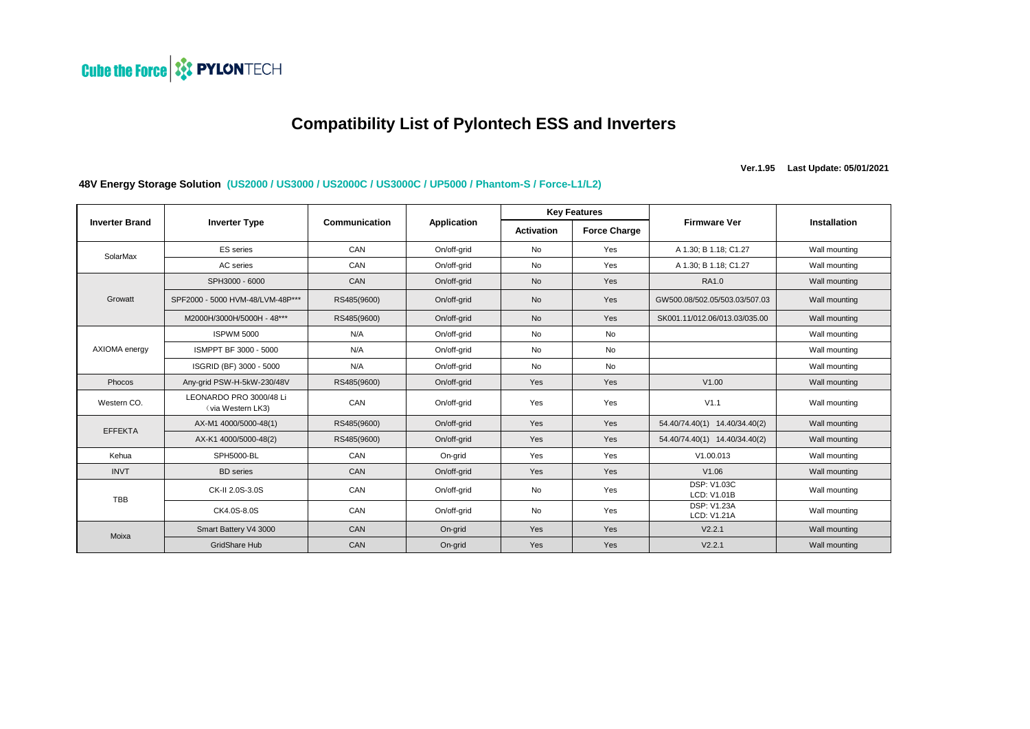

**Ver.1.95 Last Update: 05/01/2021**

## **48V Energy Storage Solution (US2000 / US3000 / US2000C / US3000C / UP5000 / Phantom-S / Force-L1/L2)**

|                       | <b>Inverter Type</b>                         | Communication | <b>Application</b> | <b>Key Features</b> |                     |                                   |               |
|-----------------------|----------------------------------------------|---------------|--------------------|---------------------|---------------------|-----------------------------------|---------------|
| <b>Inverter Brand</b> |                                              |               |                    | Activation          | <b>Force Charge</b> | <b>Firmware Ver</b>               | Installation  |
| SolarMax              | <b>ES</b> series                             | CAN           | On/off-grid        | <b>No</b>           | Yes                 | A 1.30; B 1.18; C1.27             | Wall mounting |
|                       | AC series                                    | CAN           | On/off-grid        | <b>No</b>           | Yes                 | A 1.30; B 1.18; C1.27             | Wall mounting |
|                       | SPH3000 - 6000                               | CAN           | On/off-grid        | <b>No</b>           | Yes                 | RA1.0                             | Wall mounting |
| Growatt               | SPF2000 - 5000 HVM-48/LVM-48P***             | RS485(9600)   | On/off-grid        | <b>No</b>           | Yes                 | GW500.08/502.05/503.03/507.03     | Wall mounting |
|                       | M2000H/3000H/5000H - 48***                   | RS485(9600)   | On/off-grid        | <b>No</b>           | Yes                 | SK001.11/012.06/013.03/035.00     | Wall mounting |
|                       | <b>ISPWM 5000</b>                            | N/A           | On/off-grid        | No                  | <b>No</b>           |                                   | Wall mounting |
| AXIOMA energy         | ISMPPT BF 3000 - 5000                        | N/A           | On/off-grid        | <b>No</b>           | <b>No</b>           |                                   | Wall mounting |
|                       | ISGRID (BF) 3000 - 5000                      | N/A           | On/off-grid        | <b>No</b>           | <b>No</b>           |                                   | Wall mounting |
| Phocos                | Any-grid PSW-H-5kW-230/48V                   | RS485(9600)   | On/off-grid        | Yes                 | Yes                 | V1.00                             | Wall mounting |
| Western CO.           | LEONARDO PRO 3000/48 Li<br>(via Western LK3) | CAN           | On/off-grid        | Yes                 | Yes                 | V1.1                              | Wall mounting |
| <b>EFFEKTA</b>        | AX-M1 4000/5000-48(1)                        | RS485(9600)   | On/off-grid        | Yes                 | Yes                 | 54.40/74.40(1) 14.40/34.40(2)     | Wall mounting |
|                       | AX-K1 4000/5000-48(2)                        | RS485(9600)   | On/off-grid        | Yes                 | Yes                 | 54.40/74.40(1) 14.40/34.40(2)     | Wall mounting |
| Kehua                 | SPH5000-BL                                   | CAN           | On-grid            | Yes                 | Yes                 | V1.00.013                         | Wall mounting |
| <b>INVT</b>           | <b>BD</b> series                             | CAN           | On/off-grid        | Yes                 | Yes                 | V1.06                             | Wall mounting |
| <b>TBB</b>            | CK-II 2.0S-3.0S                              | CAN           | On/off-grid        | <b>No</b>           | Yes                 | <b>DSP: V1.03C</b><br>LCD: V1.01B | Wall mounting |
|                       | CK4.0S-8.0S                                  | CAN           | On/off-grid        | <b>No</b>           | Yes                 | <b>DSP: V1.23A</b><br>LCD: V1.21A | Wall mounting |
| Moixa                 | Smart Battery V4 3000                        | CAN           | On-grid            | Yes                 | Yes                 | V2.2.1                            | Wall mounting |
|                       | <b>GridShare Hub</b>                         | CAN           | On-grid            | Yes                 | Yes                 | V2.2.1                            | Wall mounting |